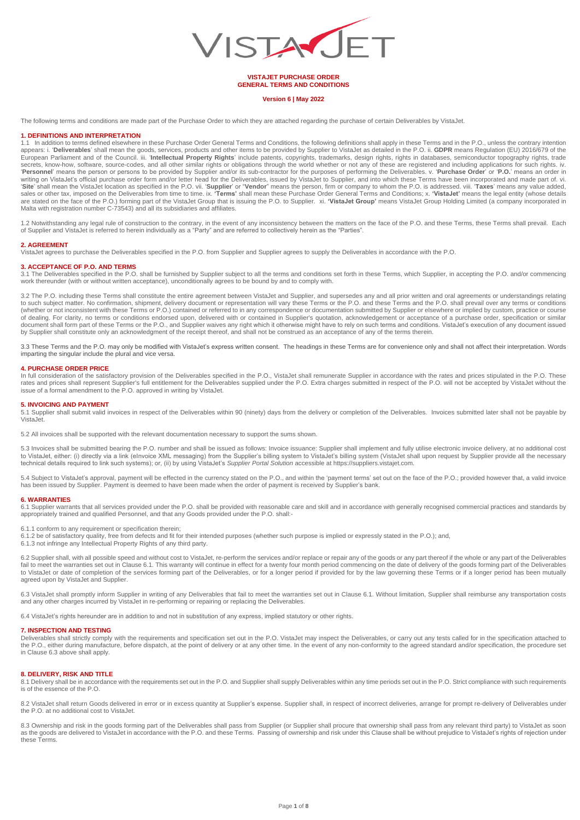

**VISTAJET PURCHASE ORDER GENERAL TERMS AND CONDITIONS**

## **Version 6 | May 2022**

The following terms and conditions are made part of the Purchase Order to which they are attached regarding the purchase of certain Deliverables by VistaJet.

## **1. DEFINITIONS AND INTERPRETATION**

1.1 In addition to terms defined elsewhere in these Purchase Order General Terms and Conditions, the following definitions shall apply in these Terms and in the P.O., unless the contrary intention appears: i. '**Deliverables**' shall mean the goods, services, products and other items to be provided by Supplier to VistaJet as detailed in the P.O. ii. **GDPR** means Regulation (EU) 2016/679 of the European Parliament and of the Council. iii. 'I**ntellectual Property Rights**' include patents, copyrights, trademarks, design rights, rights in databases, semiconductor topography rights, trade<br>secrets, know-how, software, writing on VistaJet's official purchase order form and/or letter head for the Deliverables, issued by VistaJet to Supplier, and into which these Terms have been incorporated and made part of. vi.<br>'**Site**' shall mean the Vi are stated on the face of the P.O.) forming part of the VistaJet Group that is issuing the P.O. to Supplier. xi. **'VistaJet Group'** means VistaJet Group Holding Limited (a company incorporated in<br>Malta with registration nu

1.2 Notwithstanding any legal rule of construction to the contrary, in the event of any inconsistency between the matters on the face of the P.O. and these Terms, these Terms shall prevail. Each<br>of Supplier and VistaJet is

#### **2. AGREEMENT**

VistaJet agrees to purchase the Deliverables specified in the P.O. from Supplier and Supplier agrees to supply the Deliverables in accordance with the P.O.

# **3. ACCEPTANCE OF P.O. AND TERMS**

3.1 The Deliverables specified in the P.O. shall be furnished by Supplier subject to all the terms and conditions set forth in these Terms, which Supplier, in accepting the P.O. and/or commencing work thereunder (with or without written acceptance), unconditionally agrees to be bound by and to comply with.

3.2 The P.O. including these Terms shall constitute the entire agreement between VistaJet and Supplier, and supersedes any and all prior written and oral agreements or understandings relating to such subject matter. No confirmation, shipment, delivery document or representation will vary these Terms or the P.O. and these Terms and the P.O. shall prevail over any terms or conditions (whether or not inconsistent with these Terms or P.O.) contained or referred to in any correspondence or documentation submitted by Supplier or elsewhere or implied by custom, practice or course<br>of dealing. For clarity, no document shall form part of these Terms or the P.O., and Supplier waives any right which it otherwise might have to rely on such terms and conditions. VistaJet's execution of any document issued by Supplier shall constitute only an acknowledgment of the receipt thereof, and shall not be construed as an acceptance of any of the terms therein.

3.3 These Terms and the P.O. may only be modified with VistaJet's express written consent. The headings in these Terms are for convenience only and shall not affect their interpretation. Words imparting the singular include the plural and vice versa.

#### **4. PURCHASE ORDER PRICE**

In full consideration of the satisfactory provision of the Deliverables specified in the P.O., VistaJet shall remunerate Supplier in accordance with the rates and prices stipulated in the P.O. These<br>rates and prices shall issue of a formal amendment to the P.O. approved in writing by VistaJet.

#### **5. INVOICING AND PAYMENT**

5.1 Supplier shall submit valid invoices in respect of the Deliverables within 90 (ninety) days from the delivery or completion of the Deliverables. Invoices submitted later shall not be payable by .<br>Vista let

5.2 All invoices shall be supported with the relevant documentation necessary to support the sums shown.

5.3 Invoices shall be submitted bearing the P.O. number and shall be issued as follows: Invoice issuance: Supplier shall implement and fully utilise electronic invoice delivery, at no additional cost to VistaJet, either: (i) directly via a link (elnvoice XML messaging) from the Supplier's billing system to VistaJet's billing system (VistaJet shall upon request by Supplier provide all the necessary<br>technical details req

5.4 Subject to VistaJet's approval, payment will be effected in the currency stated on the P.O., and within the 'payment terms' set out on the face of the P.O.; provided however that, a valid invoice has been issued by Supplier. Payment is deemed to have been made when the order of payment is received by Supplier's bank.

#### **6. WARRANTIES**

6.1 Supplier warrants that all services provided under the P.O. shall be provided with reasonable care and skill and in accordance with generally recognised commercial practices and standards by appropriately trained and qualified Personnel, and that any Goods provided under the P.O. shall:-

6.1.1 conform to any requirement or specification therein;

6.1.2 be of satisfactory quality, free from defects and fit for their intended purposes (whether such purpose is implied or expressly stated in the P.O.); and,

6.1.3 not infringe any Intellectual Property Rights of any third party.

6.2 Supplier shall, with all possible speed and without cost to VistaJet, re-perform the services and/or replace or repair any of the goods or any part thereof if the whole or any part of the Deliverables fail to meet the warranties set out in Clause 6.1. This warranty will continue in effect for a twenty four month period commencing on the date of delivery of the goods forming part of the Deliverables to VistaJet or date of completion of the services forming part of the Deliverables, or for a longer period if provided for by the law governing these Terms or if a longer period has been mutually agreed upon by VistaJet and Supplier.

6.3 VistaJet shall promptly inform Supplier in writing of any Deliverables that fail to meet the warranties set out in Clause 6.1. Without limitation, Supplier shall reimburse any transportation costs<br>and any other charges

6.4 VistaJet's rights hereunder are in addition to and not in substitution of any express, implied statutory or other rights.

#### **7. INSPECTION AND TESTING**

Deliverables shall strictly comply with the requirements and specification set out in the P.O. VistaJet may inspect the Deliverables, or carry out any tests called for in the specification attached to the P.O., either during manufacture, before dispatch, at the point of delivery or at any other time. In the event of any non-conformity to the agreed standard and/or specification, the procedure set any other time. In the in Clause 6.3 above shall apply.

# **8. DELIVERY, RISK AND TITLE**

8.1 Delivery shall be in accordance with the requirements set out in the P.O. and Supplier shall supply Deliverables within any time periods set out in the P.O. Strict compliance with such requirements is of the essence of the P.O.

8.2 VistaJet shall return Goods delivered in error or in excess quantity at Supplier's expense. Supplier shall, in respect of incorrect deliveries, arrange for prompt re-delivery of Deliverables under the P.O. at no additional cost to VistaJet.

8.3 Ownership and risk in the goods forming part of the Deliverables shall pass from Supplier (or Supplier shall procure that ownership shall pass from any relevant third party) to VistaJet as soon<br>as the goods are deliver these Terms.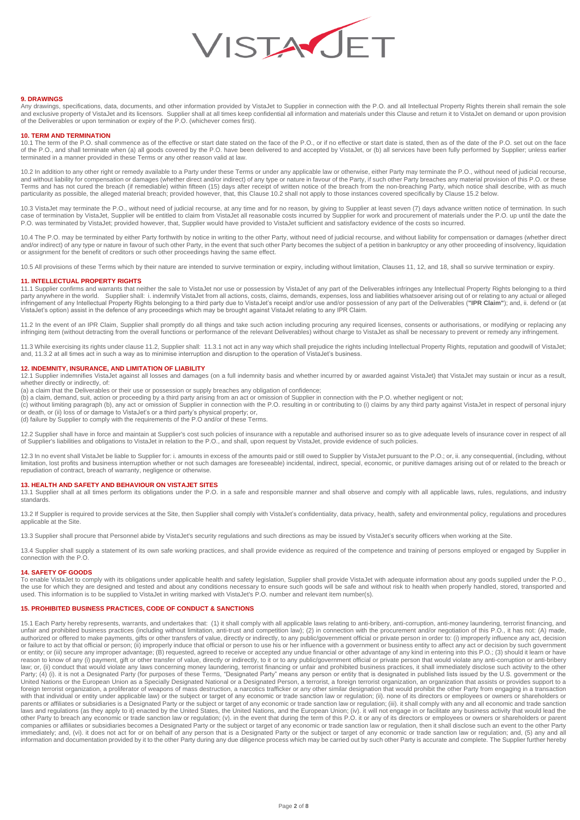

## **9. DRAWINGS**

Any drawings, specifications, data, documents, and other information provided by VistaJet to Supplier in connection with the P.O. and all Intellectual Property Rights therein shall remain the sole and exclusive property of VistaJet and its licensors. Supplier shall at all times keep confidential all information and materials under this Clause and return it to VistaJet on demand or upon provision<br>of the Deliverables

## **10. TERM AND TERMINATION**

10.1 The term of the P.O. shall commence as of the effective or start date stated on the face of the P.O., or if no effective or start date is stated, then as of the date of the P.O. set out on the face of the P.O., and shall terminate when (a) all goods covered by the P.O. have been delivered to and accepted by VistaJet, or (b) all services have been fully performed by Supplier; unless earlier terminated in a manner provided in these Terms or any other reason valid at law.

10.2 In addition to any other right or remedy available to a Party under these Terms or under any applicable law or otherwise, either Party may terminate the P.O., without need of judicial recourse, and without liability for compensation or damages (whether direct and/or indirect) of any type or nature in favour of the Party, if such other Party breaches any material provision of this P.O. or these<br>Terms and has not c particularity as possible, the alleged material breach; provided however, that, this Clause 10.2 shall not apply to those instances covered specifically by Clause 15.2 below.

10.3 VistaJet may terminate the P.O., without need of judicial recourse, at any time and for no reason, by giving to Supplier at least seven (7) days advance written notice of termination. In such case of termination by VistaJet, Supplier will be entitled to claim from VistaJet all reasonable costs incurred by Supplier for work and procurement of materials under the P.O. up until the date the P.O. was terminated by VistaJet; provided however, that, Supplier would have provided to VistaJet sufficient and satisfactory evidence of the costs so incurred.

10.4 The P.O. may be terminated by either Party forthwith by notice in writing to the other Party, without need of judicial recourse, and without liability for compensation or damages (whether direct and/or indirect) of any type or nature in favour of such other Party, in the event that such other Party becomes the subject of a petition in bankruptcy or any other proceeding of insolvency, liquidation or assignment for the benefit of creditors or such other proceedings having the same effect.

10.5 All provisions of these Terms which by their nature are intended to survive termination or expiry, including without limitation, Clauses 11, 12, and 18, shall so survive termination or expiry.

#### **11. INTELLECTUAL PROPERTY RIGHTS**

11.1 Supplier confirms and warrants that neither the sale to VistaJet nor use or possession by VistaJet of any part of the Deliverables infringes any Intellectual Property Rights belonging to a third<br>party anywhere in the infringement of any Intellectual Property Rights belonging to a third party due to VistaJet's receipt and/or use and/or possession of any part of the Deliverables (**"IPR Claim"**); and, ii. defend or (at VistaJet's option) assist in the defence of any proceedings which may be brought against VistaJet relating to any IPR Claim.

11.2 In the event of an IPR Claim, Supplier shall promptly do all things and take such action including procuring any required licenses, consents or authorisations, or modifying or replacing any infringing item (without detracting from the overall functions or performance of the relevant Deliverables) without charge to VistaJet as shall be necessary to prevent or remedy any infringement.

11.3 While exercising its rights under clause 11.2, Supplier shall: 11.3.1 not act in any way which shall prejudice the rights including Intellectual Property Rights, reputation and goodwill of VistaJet; and, 11.3.2 at all times act in such a way as to minimise interruption and disruption to the operation of VistaJet's business.

# **12. INDEMNITY, INSURANCE, AND LIMITATION OF LIABILITY**

12.1 Supplier indemnifies VistaJet against all losses and damages (on a full indemnity basis and whether incurred by or awarded against VistaJet) that VistaJet may sustain or incur as a result, whether directly or indirectly, of:

(a) a claim that the Deliverables or their use or possession or supply breaches any obligation of confidence;

(b) a claim, demand, suit, action or proceeding by a third party arising from an act or omission of Supplier in connection with the P.O. whether negligent or not;<br>(c) without limiting paragraph (b), any act or omission of or death, or (ii) loss of or damage to VistaJet's or a third party's physical property; or,

(d) failure by Supplier to comply with the requirements of the P.O and/or of these Terms.

12.2 Supplier shall have in force and maintain at Supplier's cost such policies of insurance with a reputable and authorised insurer so as to give adequate levels of insurance cover in respect of all of Supplier's liabilities and obligations to VistaJet in relation to the P.O., and shall, upon request by VistaJet, provide evidence of such policies.

12.3 In no event shall VistaJet be liable to Supplier for: i. amounts in excess of the amounts paid or still owed to Supplier by VistaJet pursuant to the P.O.; or, ii. any consequential, (including, without<br>limitation, los repudiation of contract, breach of warranty, negligence or otherwise.

# **13. HEALTH AND SAFETY AND BEHAVIOUR ON VISTAJET SITES**

13.1 Supplier shall at all times perform its obligations under the P.O. in a safe and responsible manner and shall observe and comply with all applicable laws, rules, regulations, and industry standards.

13.2 If Supplier is required to provide services at the Site, then Supplier shall comply with VistaJet's confidentiality, data privacy, health, safety and environmental policy, regulations and procedures applicable at the Site.

13.3 Supplier shall procure that Personnel abide by VistaJet's security regulations and such directions as may be issued by VistaJet's security officers when working at the Site.

13.4 Supplier shall supply a statement of its own safe working practices, and shall provide evidence as required of the competence and training of persons employed or engaged by Supplier in connection with the P.O.

#### **14. SAFETY OF GOODS**

To enable VistaJet to comply with its obligations under applicable health and safety legislation, Supplier shall provide VistaJet with adequate information about any goods supplied under the P.O., the use for which they are designed and tested and about any conditions necessary to ensure such goods will be safe and without risk to health when properly handled, stored, transported and<br>used. This information is to be

## **15. PROHIBITED BUSINESS PRACTICES, CODE OF CONDUCT & SANCTIONS**

15.1 Each Party hereby represents, warrants, and undertakes that: (1) it shall comply with all applicable laws relating to anti-bribery, anti-corruption, anti-money laundering, terrorist financing, and unfair and prohibited business practices (including without limitation, anti-trust and competition law); (2) in connection with the procurement and/or negotiation of this P.O., it has not: (A) made, authorized or offered to make payments, gifts or other transfers of value, directly or indirectly, to any public/government official or private person in order to: (i) improperly influence any act, decision<br>or failure to a or entity; or (iii) secure any improper advantage; (B) requested, agreed to receive or accepted any undue financial or other advantage of any kind in entering into this P.O.; (3) should it learn or have reason to know of any (i) payment, gift or other transfer of value, directly or indirectly, to it or to any public/government official or private person that would violate any anti-corruption or anti-bribery<br>Iaw; or, (ii) Party; (4) (i). it is not a Designated Party (for purposes of these Terms, "Designated Party" means any person or entity that is designated in published lists issued by the U.S. government or the<br>United Nations or the Euro with that individual or entity under applicable law) or the subject or target of any economic or trade sanction law or regulation; (ii). none of its directors or employees or owners or shareholders or parents or affiliates or subsidiaries is a Designated Party or the subject or target of any economic or trade sanction law or regulation; (iii). it shall comply with any and all economic and trade sanction<br>laws and regulat companies or affiliates or subsidiaries becomes a Designated Party or the subject or target of any economic or trade sanction law or regulation, then it shall disclose such an event to the other Party<br>immediately; and, (vi information and documentation provided by it to the other Party during any due diligence process which may be carried out by such other Party is accurate and complete. The Supplier further hereby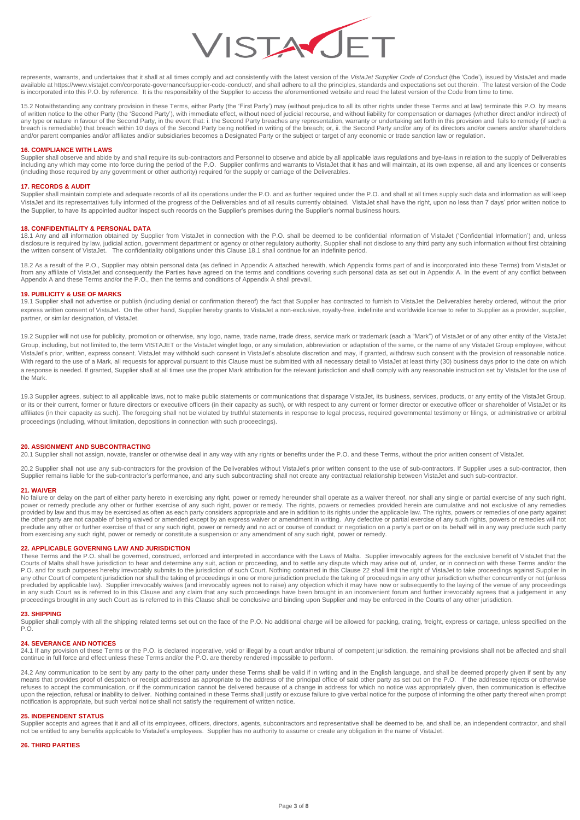

represents, warrants, and undertakes that it shall at all times comply and act consistently with the latest version of the *VistaJet Supplier Code of Conduct* (the 'Code'), issued by VistaJet and made<br>available at https:// is incorporated into this P.O. by reference. It is the responsibility of the Supplier to access the aforementioned website and read the latest version of the Code from time to time.

15.2 Notwithstanding any contrary provision in these Terms, either Party (the 'First Party') may (without prejudice to all its other rights under these Terms and at law) terminate this P.O. by means of written notice to the other Party (the 'Second Party'), with immediate effect, without need of judicial recourse, and without liability for compensation or damages (whether direct and/or indirect) of<br>any type or nature and/or parent companies and/or affiliates and/or subsidiaries becomes a Designated Party or the subject or target of any economic or trade sanction law or regulation.

## **16. COMPLIANCE WITH LAWS**

Supplier shall observe and abide by and shall require its sub-contractors and Personnel to observe and abide by all applicable laws regulations and bye-laws in relation to the supply of Deliverables<br>including any which may

## **17. RECORDS & AUDIT**

Supplier shall maintain complete and adequate records of all its operations under the P.O. and as further required under the P.O. and shall at all times supply such data and information as will keep VistaJet and its representatives fully informed of the progress of the Deliverables and of all results currently obtained. VistaJet shall have the right, upon no less than 7 days' prior written notice to the Supplier, to have its appointed auditor inspect such records on the Supplier's premises during the Supplier's normal business hours.

#### **18. CONFIDENTIALITY & PERSONAL DATA**

18.1 Any and all information obtained by Supplier from VistaJet in connection with the P.O. shall be deemed to be confidential information of VistaJet ('Confidential Information') and, unless disclosure is required by law, judicial action, government department or agency or other regulatory authority, Supplier shall not disclose to any third party any such information without first obtaining the written consent of VistaJet. The confidentiality obligations under this Clause 18.1 shall continue for an indefinite period.

18.2 As a result of the P.O., Supplier may obtain personal data (as defined in Appendix A attached herewith, which Appendix forms part of and is incorporated into these Terms) from VistaJet or from any affiliate of VistaJet and consequently the Parties have agreed on the terms and conditions covering such personal data as set out in Appendix A. In the event of any conflict between<br>Appendix A and these Terms and/

## **19. PUBLICITY & USE OF MARKS**

19.1 Supplier shall not advertise or publish (including denial or confirmation thereof) the fact that Supplier has contracted to furnish to VistaJet the Deliverables hereby ordered, without the prior express written consent of VistaJet. On the other hand, Supplier hereby grants to VistaJet a non-exclusive, royalty-free, indefinite and worldwide license to refer to Supplier as a provider, supplier, partner, or similar designation, of VistaJet.

19.2 Supplier will not use for publicity, promotion or otherwise, any logo, name, trade name, trade dress, service mark or trademark (each a "Mark") of VistaJet or of any other entity of the VistaJet Group, including, but not limited to, the term VISTAJET or the VistaJet winglet logo, or any simulation, abbreviation or adaptation of the same, or the name of any VistaJet Group employee, without VistaJet's prior, written, express consent. VistaJet may withhold such consent in VistaJet's absolute discretion and may, if granted, withdraw such consent with the provision of reasonable notice. With regard to the use of a Mark, all requests for approval pursuant to this Clause must be submitted with all necessary detail to VistaJet at least thirty (30) business days prior to the date on which a response is needed. If granted, Supplier shall at all times use the proper Mark attribution for the relevant jurisdiction and shall comply with any reasonable instruction set by VistaJet for the use of the Mark.

19.3 Supplier agrees, subject to all applicable laws, not to make public statements or communications that disparage VistaJet, its business, services, products, or any entity of the VistaJet Group, or its or their current, former or future directors or executive officers (in their capacity as such), or with respect to any current or former director or executive officer or shareholder of VistaJet or its affiliates (in their capacity as such). The foregoing shall not be violated by truthful statements in response to legal process, required governmental testimony or filings, or administrative or arbitral proceedings (including, without limitation, depositions in connection with such proceedings).

# **20. ASSIGNMENT AND SUBCONTRACTING**

20.1 Supplier shall not assign, novate, transfer or otherwise deal in any way with any rights or benefits under the P.O. and these Terms, without the prior written consent of VistaJet.

20.2 Supplier shall not use any sub-contractors for the provision of the Deliverables without VistaJet's prior written consent to the use of sub-contractors. If Supplier uses a sub-contractor, then Supplier remains liable for the sub-contractor's performance, and any such subcontracting shall not create any contractual relationship between VistaJet and such sub-contractor.

## **21. WAIVER**

No failure or delay on the part of either party hereto in exercising any right, power or remedy hereunder shall operate as a waiver thereof, nor shall any single or partial exercise of any such right, power or remedy preclude any other or further exercise of any such right, power or remedy. The rights, powers or remedies provided herein are cumulative and not exclusive of any remedies provided by law and thus may be exercised as often as each party considers appropriate and are in addition to its rights under the applicable law. The rights, powers or remedies of one party against<br>the other party are not preclude any other or further exercise of that or any such right, power or remedy and no act or course of conduct or negotiation on a party's part or on its behalf will in any way preclude such party from exercising any such right, power or remedy or constitute a suspension or any amendment of any such right, power or remedy.

# **22. APPLICABLE GOVERNING LAW AND JURISDICTION**

These Terms and the P.O. shall be governed, construed, enforced and interpreted in accordance with the Laws of Malta. Supplier irrevocably agrees for the exclusive benefit of VistaJet that the<br>Courts of Malta shall have ju P.O. and for such purposes hereby irrevocably submits to the jurisdiction of such Court. Nothing contained in this Clause 22 shall limit the right of VistaJet to take proceedings against Supplier in any other Court of competent jurisdiction nor shall the taking of proceedings in one or more jurisdicion preclude the taking of proceedings in any other jurisdiction whether concurrently or not (unless<br>precluded by applica in any such Court as is referred to in this Clause and any claim that any such proceedings have been brought in an inconvenient forum and further irrevocably agrees that a judgement in any<br>proceedings brought in any such C

#### **23. SHIPPING**

Supplier shall comply with all the shipping related terms set out on the face of the P.O. No additional charge will be allowed for packing, crating, freight, express or cartage, unless specified on the P.O.

## **24. SEVERANCE AND NOTICES**

24.1 If any provision of these Terms or the P.O. is declared inoperative, void or illegal by a court and/or tribunal of competent jurisdiction, the remaining provisions shall not be affected and shall continue in full force and effect unless these Terms and/or the P.O. are thereby rendered impossible to perform.

24.2 Any communication to be sent by any party to the other party under these Terms shall be valid if in writing and in the English language, and shall be deemed properly given if sent by any means that provides proof of despatch or receipt addressed as appropriate to the address of the principal office of said other party as set out on the P.O. If the addressee rejects or otherwise refuses to accept the communication, or if the communication cannot be delivered because of a change in address for which no notice was appropriately given, then communication is effective<br>upon the rejection, refusal or in notification is appropriate, but such verbal notice shall not satisfy the requirement of written notice.

## **25. INDEPENDENT STATUS**

Supplier accepts and agrees that it and all of its employees, officers, directors, agents, subcontractors and representative shall be deemed to be, and shall be, an independent contractor, and shall not be entitled to any benefits applicable to VistaJet's employees. Supplier has no authority to assume or create any obligation in the name of VistaJet.

#### **26. THIRD PARTIES**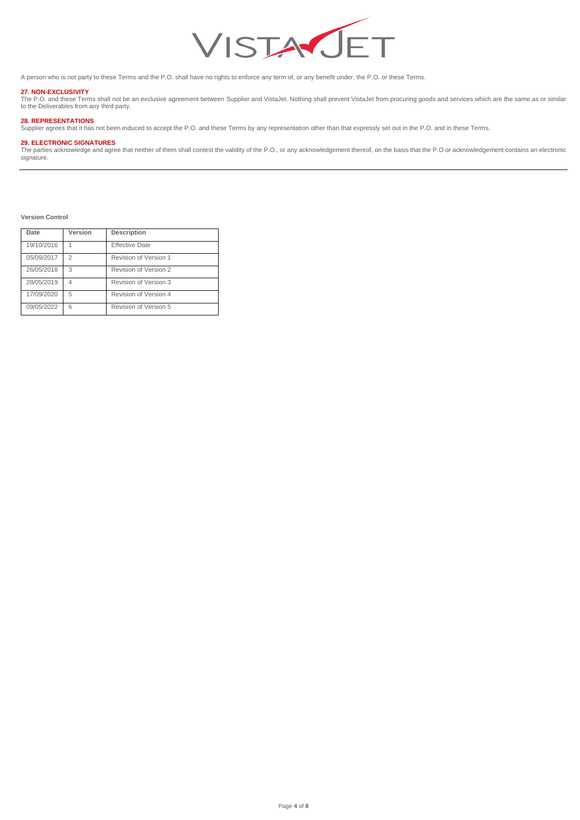

A person who is not party to these Terms and the P.O. shall have no rights to enforce any term of, or any benefit under, the P.O. or these Terms.

**27. NON-EXCLUSIVITY**<br>The P.O. and these Terms shall not be an exclusive agreement between Supplier and VistaJet. Nothing shall prevent VistaJet from procuring goods and services which are the same as or similar<br>to the Del

# **28. REPRESENTATIONS**

Supplier agrees that it has not been induced to accept the P.O. and these Terms by any representation other than that expressly set out in the P.O. and in these Terms.

# **29. ELECTRONIC SIGNATURES**

The parties acknowledge and agree that neither of them shall contest the validity of the P.O., or any acknowledgement thereof, on the basis that the P.O or acknowledgement contains an electronic signature.

**Version Control** 

| Date       | Version | Description           |
|------------|---------|-----------------------|
| 19/10/2016 |         | <b>Effective Date</b> |
| 05/09/2017 | 2       | Revision of Version 1 |
| 26/05/2018 | 3       | Revision of Version 2 |
| 28/05/2019 |         | Revision of Version 3 |
| 17/09/2020 | 5       | Revision of Version 4 |
| 09/05/2022 | 6       | Revision of Version 5 |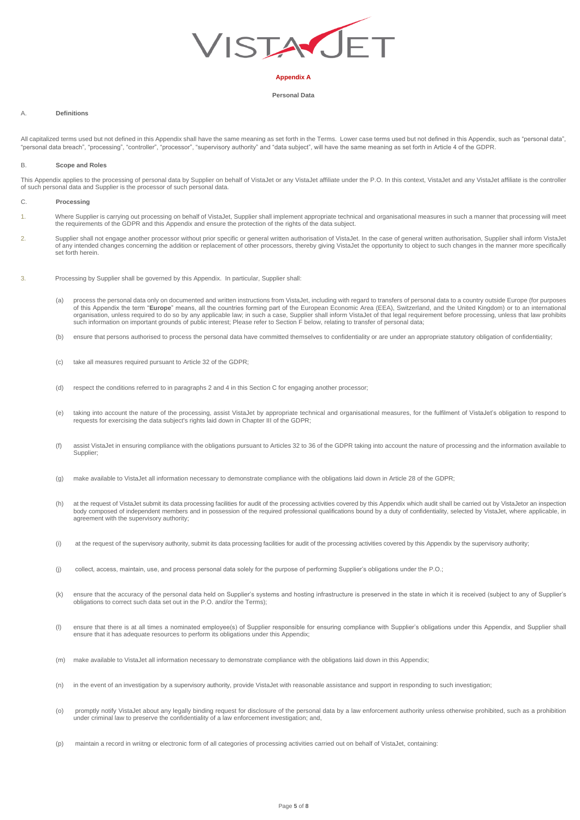

# **Appendix A**

## **Personal Data**

## A. **Definitions**

All capitalized terms used but not defined in this Appendix shall have the same meaning as set forth in the Terms. Lower case terms used but not defined in this Appendix, such as "personal data", "personal data breach", "processing", "controller", "processor", "supervisory authority" and "data subject", will have the same meaning as set forth in Article 4 of the GDPR.

## B. **Scope and Roles**

This Appendix applies to the processing of personal data by Supplier on behalf of VistaJet or any VistaJet affiliate under the P.O. In this context, VistaJet and any VistaJet affiliate is the controller of such personal data and Supplier is the processor of such personal data.

# C. **Processing**

- 1. Where Supplier is carrying out processing on behalf of VistaJet, Supplier shall implement appropriate technical and organisational measures in such a manner that processing will meet<br>the requirements of the GDPR and thi
- 2. Supplier shall not engage another processor without prior specific or general written authorisation of VistaJet. In the case of general written authorisation, Supplier shall inform VistaJet of any intended changes concerning the addition or replacement of other processors, thereby giving VistaJet the opportunity to object to such changes in the manner more specifically set forth herein.
- 3. Processing by Supplier shall be governed by this Appendix. In particular, Supplier shall:
	- (a) process the personal data only on documented and written instructions from VistaJet, including with regard to transfers of personal data to a country outside Europe (for purposes of this Appendix the term "**Europe**" means, all the countries forming part of the European Economic Area (EEA), Switzerland, and the United Kingdom) or to an international<br>organisation, unless required to do so by any appl such information on important grounds of public interest; Please refer to Section F below, relating to transfer of personal data;
	- (b) ensure that persons authorised to process the personal data have committed themselves to confidentiality or are under an appropriate statutory obligation of confidentiality;
	- (c) take all measures required pursuant to Article 32 of the GDPR;
	- (d) respect the conditions referred to in paragraphs 2 and 4 in this Section C for engaging another processor;
	- (e) taking into account the nature of the processing, assist VistaJet by appropriate technical and organisational measures, for the fulfilment of VistaJet's obligation to respond to requests for exercising the data subject's rights laid down in Chapter III of the GDPR;
	- (f) assist VistaJet in ensuring compliance with the obligations pursuant to Articles 32 to 36 of the GDPR taking into account the nature of processing and the information available to Supplier;
	- (g) make available to VistaJet all information necessary to demonstrate compliance with the obligations laid down in Article 28 of the GDPR;
	- (h) at the request of VistaJet submit its data processing facilities for audit of the processing activities covered by this Appendix which audit shall be carried out by VistaJetor an inspection body composed of independent members and in possession of the required professional qualifications bound by a duty of confidentiality, selected by VistaJet, where applicable, in agreement with the supervisory authority;
	- (i) at the request of the supervisory authority, submit its data processing facilities for audit of the processing activities covered by this Appendix by the supervisory authority;
	- (j) collect, access, maintain, use, and process personal data solely for the purpose of performing Supplier's obligations under the P.O.;
	- (k) ensure that the accuracy of the personal data held on Supplier's systems and hosting infrastructure is preserved in the state in which it is received (subject to any of Supplier's obligations to correct such data set out in the P.O. and/or the Terms);
	- (l) ensure that there is at all times a nominated employee(s) of Supplier responsible for ensuring compliance with Supplier's obligations under this Appendix, and Supplier shall ensure that it has adequate resources to perform its obligations under this Appendix;
	- (m) make available to VistaJet all information necessary to demonstrate compliance with the obligations laid down in this Appendix;
	- (n) in the event of an investigation by a supervisory authority, provide VistaJet with reasonable assistance and support in responding to such investigation;
	- (o) promptly notify VistaJet about any legally binding request for disclosure of the personal data by a law enforcement authority unless otherwise prohibited, such as a prohibition under criminal law to preserve the confidentiality of a law enforcement investigation; and,
	- (p) maintain a record in wriitng or electronic form of all categories of processing activities carried out on behalf of VistaJet, containing: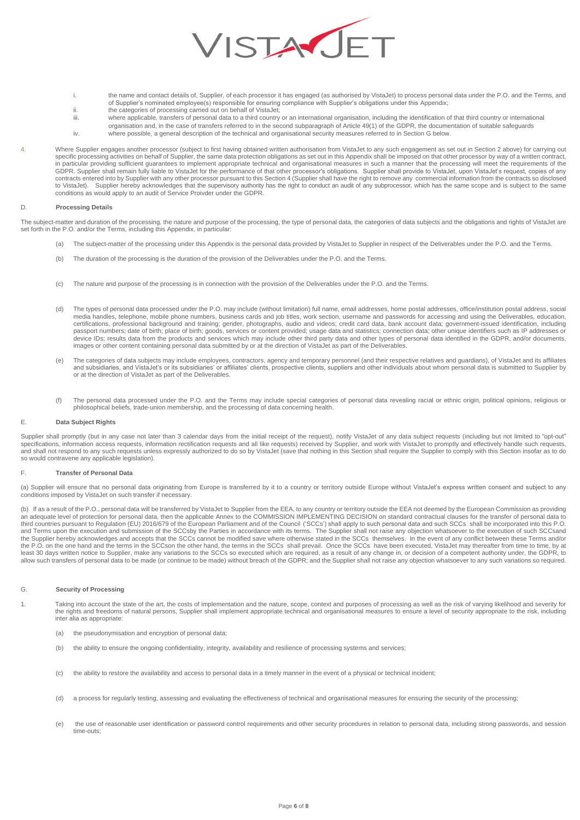

- i. the name and contact details of, Supplier, of each processor it has engaged (as authorised by VistaJet) to process personal data under the P.O. and the Terms, and of Supplier's nominated employee(s) responsible for ensuring compliance with Supplier's obligations under this Appendix;
- ii. the categories of processing carried out on behalf of VistaJet;
- iii. where applicable, transfers of personal data to a third country or an international organisation, including the identification of that third country or international
- organisation and, in the case of transfers referred to in the second subparagraph of Article 49(1) of the GDPR, the documentation of suitable safeguards iv. where possible, a general description of the technical and organisational security measures referred to in Section G below.
- 4. Where Supplier engages another processor (subject to first having obtained written authorisation from VistaJet to any such engagement as set out in Section 2 above) for carrying out
	- specific processing activities on behalf of Supplier, the same data protection obligations as set out in this Appendix shall be imposed on that other processor by way of a written contract,<br>in particular providing sufficie GDPR. Supplier shall remain fully liable to VistaJet for the performance of that other processor's obligations. Supplier shall provide to VistaJet, upon VistaJet's request, copies of any<br>contracts entered into by Supplier to VistaJet). Supplier hereby acknowledges that the supervisory authority has the right to conduct an audit of any subprocessor, which has the same scope and is subject to the same conditions as would apply to an audit of Service Proivder under the GDPR.

# D. **Processing Details**

The subject-matter and duration of the processing, the nature and purpose of the processing, the type of personal data, the categories of data subjects and the obligations and rights of VistaJet are set forth in the P.O. and/or the Terms, including this Appendix, in particular:

- (a) The subject-matter of the processing under this Appendix is the personal data provided by VistaJet to Supplier in respect of the Deliverables under the P.O. and the Terms.
- (b) The duration of the processing is the duration of the provision of the Deliverables under the P.O. and the Terms.
- (c) The nature and purpose of the processing is in connection with the provision of the Deliverables under the P.O. and the Terms.
- (d) The types of personal data processed under the P.O. may include (without limitation) full name, email addresses, home postal addresses, office/institution postal address, social media handles, telephone, mobile phone numbers, business cards and job titles, work section, username and passwords for accessing and using the Deliverables, education, certifications, professional background and training; gender, photographs, audio and videos; credit card data, bank account data; government-issued identification, including<br>passport numbers; date of birth; place of birth; images or other content containing personal data submitted by or at the direction of VistaJet as part of the Deliverables.
- (e) The categories of data subjects may include employees, contractors, agency and temporary personnel (and their respective relatives and guardians), of VistaJet and its affiliates<br>and subsidiaries, and VistaJet's or its or at the direction of VistaJet as part of the Deliverables.
- (f) The personal data processed under the P.O. and the Terms may include special categories of personal data revealing racial or ethnic origin, political opinions, religious or philosophical beliefs, trade-union membership, and the processing of data concerning health.

## E. **Data Subject Rights**

Supplier shall promptly (but in any case not later than 3 calendar days from the initial receipt of the request), notify VistaJet of any data subject requests (including but not limited to "opt-out" specifications, information access requests, information rectification requests and all like requests) received by Supplier, and work with VistaJet to promptly and effectively handle such requests,<br>and shall not respond to so would contravene any applicable legislation).

# F. **Transfer of Personal Data**

(a) Supplier will ensure that no personal data originating from Europe is transferred by it to a country or territory outside Europe without VistaJet's express written consent and subject to any conditions imposed by VistaJet on such transfer if necessary.

(b) If as a result of the P.O., personal data will be transferred by VistaJet to Supplier from the EEA, to any country or territory outside the EEA not deemed by the European Commission as providing<br>an adequate level of pr third countries pursuant to Regulation (EU) 2016/679 of the European Parliament and of the Council ('SCCs') shall apply to such personal data and such SCCs shall be incorporated into this P.O. and Terms upon the execution and submission of the SCCsby the Parties in accordance with its terms. The Supplier shall not raise any objection whatsoever to the execution of such SCCsand<br>the Supplier hereby acknowledges an the P.O. on the one hand and the terms in the SCCson the other hand, the terms in the SCCs shall prevail. Once the SCCs have been executed, VistaJet may thereafter from time to time, by at least 30 days written notice to Supplier, make any variations to the SCCs so executed which are required, as a result of any change in, or decision of a competent authority under, the GDPR, to<br>allow such transfers of perso

## G. **Security of Processing**

- Taking into account the state of the art, the costs of implementation and the nature, scope, context and purposes of processing as well as the risk of varying likelihood and severity for the rights and freedoms of natural persons, Supplier shall implement appropriate technical and organisational measures to ensure a level of security appropriate to the risk, including inter alia as appropriate:
	- (a) the pseudonymisation and encryption of personal data;
	- (b) the ability to ensure the ongoing confidentiality, integrity, availability and resilience of processing systems and services;
	- (c) the ability to restore the availability and access to personal data in a timely manner in the event of a physical or technical incident;
	- (d) a process for regularly testing, assessing and evaluating the effectiveness of technical and organisational measures for ensuring the security of the processing;
	- (e) the use of reasonable user identification or password control requirements and other security procedures in relation to personal data, including strong passwords, and session time-outs;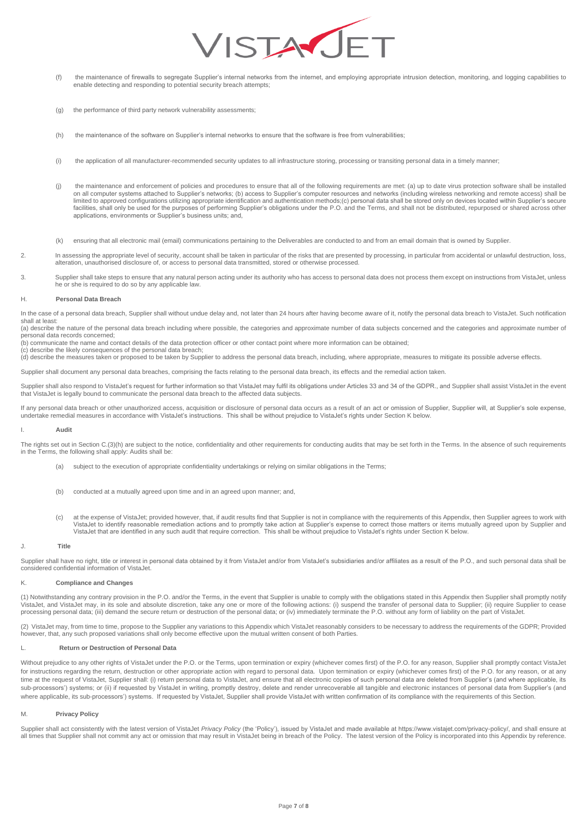

- (f) the maintenance of firewalls to segregate Supplier's internal networks from the internet, and employing appropriate intrusion detection, monitoring, and logging capabilities to enable detecting and responding to potential security breach attempts;
- (g) the performance of third party network vulnerability assessments;
- (h) the maintenance of the software on Supplier's internal networks to ensure that the software is free from vulnerabilities;
- (i) the application of all manufacturer-recommended security updates to all infrastructure storing, processing or transiting personal data in a timely manner;
- (j) the maintenance and enforcement of policies and procedures to ensure that all of the following requirements are met: (a) up to date virus protection software shall be installed on all computer systems attached to Supplier's networks; (b) access to Supplier's computer resources and networks (including wireless networking and remote access) shall be<br>limited to approved configurations utilizing appr minute to use to might only be used for the purposes of performing Supplier's obligations under the P.O. and the Terms, and shall not be distributed, repurposed or shared across other facilities, shall only be used for sha applications, environments or Supplier's business units; and,
- (k) ensuring that all electronic mail (email) communications pertaining to the Deliverables are conducted to and from an email domain that is owned by Supplier.
- 2. In assessing the appropriate level of security, account shall be taken in particular of the risks that are presented by processing, in particular from accidental or unlawful destruction, loss, alteration, unauthorised disclosure of, or access to personal data transmitted, stored or otherwise processed.
- 3. Supplier shall take steps to ensure that any natural person acting under its authority who has access to personal data does not process them except on instructions from VistaJet, unless he or she is required to do so by any applicable law.

#### H. **Personal Data Breach**

In the case of a personal data breach, Supplier shall without undue delay and, not later than 24 hours after having become aware of it, notify the personal data breach to VistaJet. Such notification shall at least:

(a) describe the nature of the personal data breach including where possible, the categories and approximate number of data subjects concerned and the categories and approximate number of personal data records concerned;

(b) communicate the name and contact details of the data protection officer or other contact point where more information can be obtained;

(c) describe the likely consequences of the personal data breach;

(d) describe the measures taken or proposed to be taken by Supplier to address the personal data breach, including, where appropriate, measures to mitigate its possible adverse effects.

Supplier shall document any personal data breaches, comprising the facts relating to the personal data breach, its effects and the remedial action taken.

Supplier shall also respond to VistaJet's request for further information so that VistaJet may fulfil its obligations under Articles 33 and 34 of the GDPR., and Supplier shall assist VistaJet in the event that VistaJet is legally bound to communicate the personal data breach to the affected data subjects.

If any personal data breach or other unauthorized access, acquisition or disclosure of personal data occurs as a result of an act or omission of Supplier, Supplier will, at Supplier's sole expense, undertake remedial measures in accordance with VistaJet's instructions. This shall be without prejudice to VistaJet's rights under Section K below.

#### I. **Audit**

The rights set out in Section C.(3)(h) are subject to the notice, confidentiality and other requirements for conducting audits that may be set forth in the Terms. In the absence of such requirements in the Terms, the following shall apply: Audits shall be:

- (a) subject to the execution of appropriate confidentiality undertakings or relying on similar obligations in the Terms;
- (b) conducted at a mutually agreed upon time and in an agreed upon manner; and,
- (c) at the expense of VistaJet; provided however, that, if audit results find that Supplier is not in compliance with the requirements of this Appendix, then Supplier agrees to work with VistaJet to identify reasonable remediation actions and to promptly take action at Supplier's expense to correct those matters or items mutually agreed upon by Supplier and VistaJet that are identified in any such audit that require correction. This shall be without prejudice to VistaJet's rights under Section K below.

#### J. **Title**

Supplier shall have no right, title or interest in personal data obtained by it from VistaJet and/or from VistaJet's subsidiaries and/or affiliates as a result of the P.O., and such personal data shall be considered confidential information of VistaJet.

# **Compliance and Changes**

(1) Notwithstanding any contrary provision in the P.O. and/or the Terms, in the event that Supplier is unable to comply with the obligations stated in this Appendix then Supplier shall promptly notify<br>VistaJet, and VistaJe processing personal data; (iii) demand the secure return or destruction of the personal data; or (iv) immediately terminate the P.O. without any form of liability on the part of VistaJet.

(2) VistaJet may, from time to time, propose to the Supplier any variations to this Appendix which VistaJet reasonably considers to be necessary to address the requirements of the GDPR; Provided however, that, any such proposed variations shall only become effective upon the mutual written consent of both Parties*.* 

## L. **Return or Destruction of Personal Data**

Without prejudice to any other rights of VistaJet under the P.O. or the Terms, upon termination or expiry (whichever comes first) of the P.O. for any reason, Supplier shall promptly contact VistaJet for instructions regarding the return, destruction or other appropriate action with regard to personal data. Upon termination or expiry (whichever comes first) of the P.O. for any reason, or at any time at the request of VistaJet, Supplier shall: (i) return personal data to VistaJet, and ensure that all electronic copies of such personal data are deleted from Supplier's (and where applicable, its sub-processors') systems; or (ii) if requested by VistaJet in writing, promptly destroy, delete and render unrecoverable all tangible and electronic instances of personal data from Supplier's (and where applicable, its sub-processors') systems. If requested by VistaJet, Supplier shall provide VistaJet with written confirmation of its compliance with the requirements of this Section.

#### M. **Privacy Policy**

Supplier shall act consistently with the latest version of VistaJet Privacy Policy (the 'Policy'), issued by VistaJet and made available at https://www.vistajet.com/privacy-policy/, and shall ensure at<br>all times that Suppl